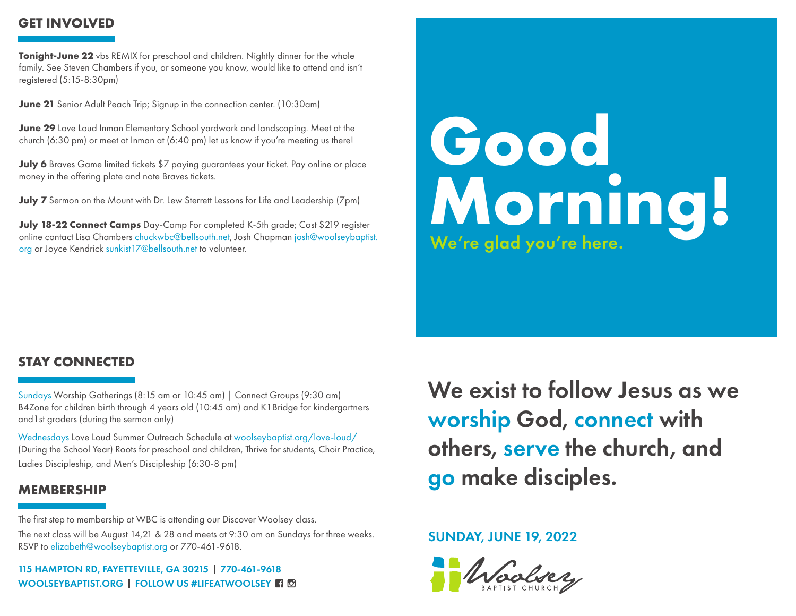# **GET INVOLVED**

**Tonight-June 22** vbs REMIX for preschool and children. Nightly dinner for the whole family. See Steven Chambers if you, or someone you know, would like to attend and isn't registered (5:15-8:30pm)

**June 21** Senior Adult Peach Trip; Signup in the connection center. (10:30am)

**June 29** Love Loud Inman Elementary School yardwork and landscaping. Meet at the church (6:30 pm) or meet at Inman at (6:40 pm) let us know if you're meeting us there!

**July 6** Braves Game limited tickets \$7 paying guarantees your ticket. Pay online or place money in the offering plate and note Braves tickets.

**July 7** Sermon on the Mount with Dr. Lew Sterrett Lessons for Life and Leadership (7pm)

**July 18-22 Connect Camps** Day-Camp For completed K-5th grade; Cost \$219 register online contact Lisa Chambers chuckwbc@bellsouth.net, Josh Chapman josh@woolseybaptist. org or Joyce Kendrick sunkist17@bellsouth.net to volunteer.

# **Good Morning!** We're glad you're here.

# **STAY CONNECTED**

Sundays Worship Gatherings (8:15 am or 10:45 am) | Connect Groups (9:30 am) B4Zone for children birth through 4 years old (10:45 am) and K1Bridge for kindergartners and1st graders (during the sermon only)

Wednesdays Love Loud Summer Outreach Schedule at woolseybaptist.org/love-loud/ (During the School Year) Roots for preschool and children, Thrive for students, Choir Practice, Ladies Discipleship, and Men's Discipleship (6:30-8 pm)

# **MEMBERSHIP**

The first step to membership at WBC is attending our Discover Woolsey class.

The next class will be August 14,21 & 28 and meets at 9:30 am on Sundays for three weeks. RSVP to elizabeth@woolseybaptist.org or 770-461-9618.

115 HAMPTON RD, FAYETTEVILLE, GA 30215 770-461-9618 WOOLSEYBAPTIST.ORG | FOLLOW US #LIFEATWOOLSEY **F**1 **D**  We exist to follow Jesus as we worship God, connect with others, serve the church, and go make disciples.

# SUNDAY, JUNE 19, 2022